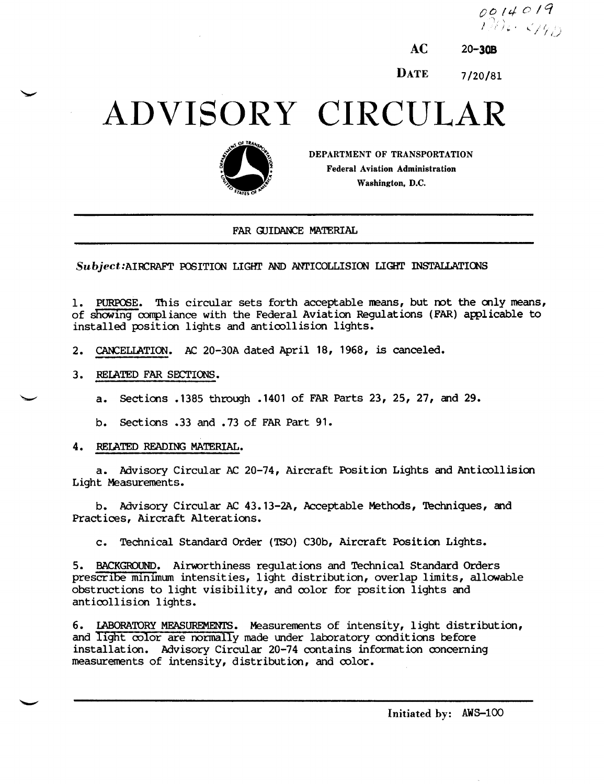$0014019$  $\mathcal{W}(\mathcal{E}) \cong \mathcal{E}_{\mathcal{F}}(\mathcal{E}_{\mathcal{E}})$ 

**DATE** 7/20/81

## ADVISORY CIRCULAR



DEPARTMENT OF TRANSPORTATION **Federal Aviation Administration** Washington, D.C.

#### FAR GUIDANCE MATERIAL

Subject: AIRCRAFT POSITION LIGHT AND ANTICOLLISION LIGHT INSTALLATIONS

PURPOSE. This circular sets forth acceptable means, but not the only means, 1. of showing compliance with the Federal Aviation Regulations (FAR) applicable to installed position lights and anticollision lights.

- 2. CANCELLATION. AC 20-30A dated April 18, 1968, is canceled.
- 3. RELATED FAR SECTIONS.

a. Sections .1385 through .1401 of FAR Parts 23, 25, 27, and 29.

b. Sections .33 and .73 of FAR Part 91.

#### 4. RELATED READING MATERIAL.

a. Advisory Circular AC 20-74, Aircraft Position Lights and Anticollision Light Measurements.

b. Advisory Circular AC 43.13-2A, Acceptable Methods, Techniques, and Practices, Aircraft Alterations.

Technical Standard Order (TSO) C30b, Aircraft Position Lights.  $\mathbf{C}$ .

5. BACKGROUND. Airworthiness regulations and Technical Standard Orders prescribe minimum intensities, light distribution, overlap limits, allowable obstructions to light visibility, and color for position lights and anticollision lights.

6. LABORATORY MEASUREMENTS. Measurements of intensity, light distribution, and light color are normally made under laboratory conditions before installation. Advisory Circular 20-74 contains information concerning measurements of intensity, distribution, and color.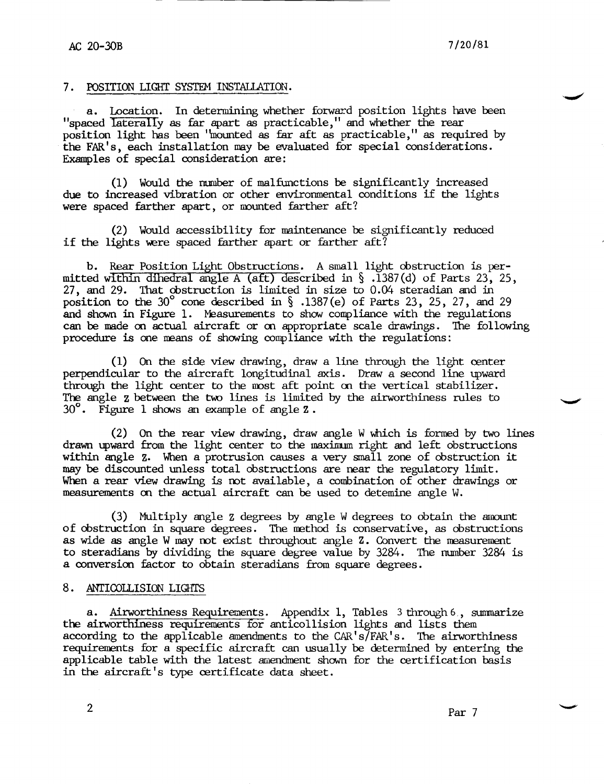#### 7. POSITION LIGHT SYSTEM INSTALLATION.

a. Location. In determining whether forward position lights have been "spaced laterally as far apart as practicable," and whether the rear position light has been ''mounted as far aft as practicable," as required by the FAR' s, each installation may be evaluated for special considerations. Examples of special consideration are:

(1) Would the number of malfunctions be significantly increased due to increased vibration or other environmental conditions if the lights were spaced farther apart, or munted farther aft?

(2) Would accessibility for maintenance be significantly reduced if the lights were spaced farther apart or farther aft?

b. Rear Position Light Obstructions. A small light obstruction is permitted within dihedral angle A (aft) described in  $\S$ .1387(d) of Parts 23, 25, 27, and 29. That obstruction is limited in size to O.04 steradian and in position to the 30° cone described in  $\S$ .1387(e) of Parts 23, 25, 27, and 29 and shown in Figure 1. Measurements to show compliance with the regulations can be made on actual aircraft or on appropriate scale drawings. The following procedure is one means of showing compliance with the regulations:

(1) On the side view drawing, draw a line through the light center perpendicular to the aircraft longitudinal axis. Draw a second line upward through the light center to the most aft point on the vertical stabilizer. The angle z between the two lines is limited by the airworthiness rules to 30°. Figure 1 shows an example of angle **Z.** 

(2) On the rear view drawing, draw angle W which is formed by two lines drawn upward from the light center to the maximum right and left obstructions within angle z, When a protrusion causes a very small zone of obstruction it may be discounted unless total obstructions are near the regulatory limit. When a rear view drawing is rot available, a combination of other drawings or measurements on the actual aircraft can be used to detemine angle w.

(3) Multiply angle z degrees by angle Wdegrees to obtain the amount of obstruction in square degrees. The rrethod is conservative, as obstructions as wide as angle W may not exist throughout angle Z. Convert the measurement to steradians by dividing the square degree value by 3284. The number 3284 is a conversion factor to obtain steradians from square degrees.

#### 8. ANTICOLLISION LIGHTS

a. Airworthiness Requirements. Appendix 1, Tables 3 through 6., summarize the airworthiness requirements for anticollision lights and lists them according to the applicable amendments to the  $CAR's/FAR's$ . The airworthiness requirements for a specific aircraft can usually be determined by entering the applicable table with the latest amendment shown for the certification basis in the aircraft's type certificate data sheet.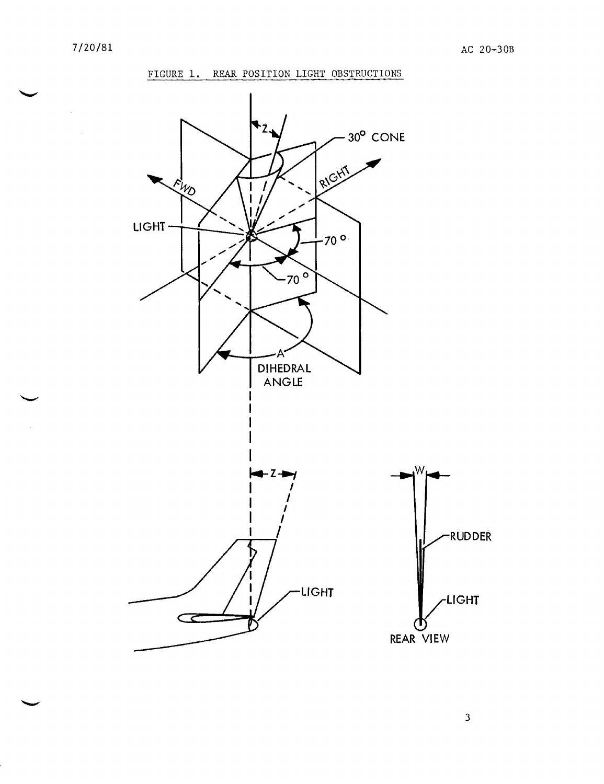$\hat{\boldsymbol{\epsilon}}$ 

#### FIGURE 1. REAR POSITION LIGHT OBSTRUCTIONS



 $\mathbf{3}$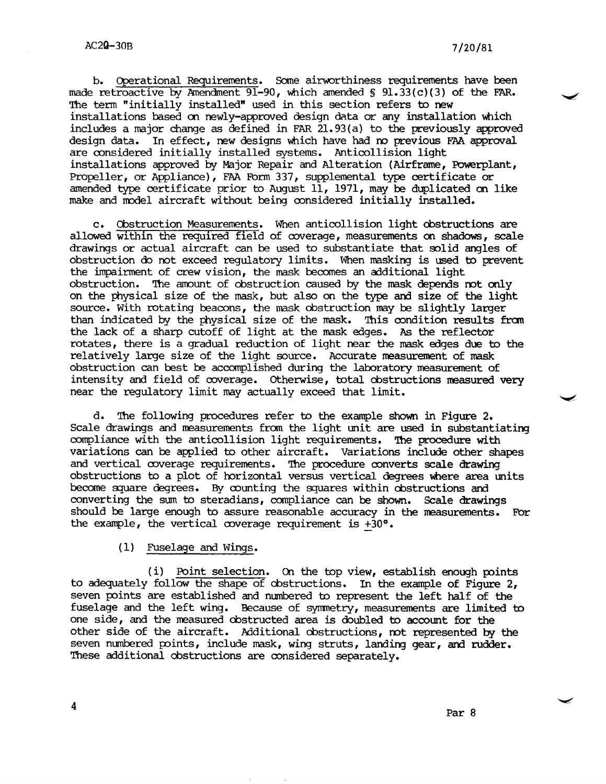b. Operational Requirements. SOme airworthiness requirements have been made retroactive by Amendment 91-90, which amended §  $91.33(c)(3)$  of the FAR. The tenn "initially installed" used in this section refers to new installations based on newly-approved design data or any installation which includes a major change as defined in FAR 21.93(a) to the previously approved design data. In effect, new designs \\bich have had m previous FAA approval are considered initially installed systems. Anticollision light installations approved by Major Repair and Alteration (Airframe, Powerplant, Propeller, or Appliance), FAA Form 337, supplemental type certificate or amended type certificate prior to August 11, 1971, may be duplicated on like make and model aircraft without being considered initially installed.

c. Cbstruction Measurements. When anticollision light oostructions are allowed within the required field of coverage, measurements on shadows, scale drawings or actual aircraft can be used to substantiate that solid angles of obstruction do mt exceed regulatory limits. When masking is used to prevent the impairment of crew vision, the mask becomes an additional light obstruction. The amount of obstruction caused by the mask depends not only on the physical size of the mask, but also on the type and size of the light source. With rotating beacons, the mask obstruction may be slightly larger than indicated by the physical size of the mask. This condition results from the lack of a sharp cutoff of light at the mask edges. As the reflector rotates, there is a gradual reduction of light near the mask edges due to the relatively large size of the light source. Accurate measurement of mask obstruction can best be accomplished during the laooratory measurement of intensity and field of coverage. otherwise, total oostructions measured very near the regulatory limit may actually exceed that limit.

d. 'Ihe following procedures refer to the example shown in Figure 2. Scale drawings and measurements from the light unit are used in substantiating compliance with the anticollision light requirements. 'Ihe procedure with variations can be applied to other aircraft. Variations include other shapes and vertical coverage requirements. The procedure converts scale drawing obstructions to a plot of horizontal versus vertical degrees where area units become square degrees. By counting the squares within obstructions and converting the sum to steradians, compliance can be shown. Scale drawings should be large enough to assure reasonable accuracy in the measurements. For the example, the vertical coverage requirement is  $+30^{\circ}$ .

(1) Fuselage and Wings.

 $(i)$  Point selection. On the top view, establish enough points to adequately follow the shape of obstructions. In the example of Figure 2, seven points are established and numbered to represent the left half of the fuselage and the left wing. Because of symmetry, measurements are limited to one side, and the measured obstructed area is doubled to account for the other side of the aircraft. Additional obstructions, not represented by the seven numbered points, include mask, wing struts, landing gear, and rudder. These additional obstructions are considered separately.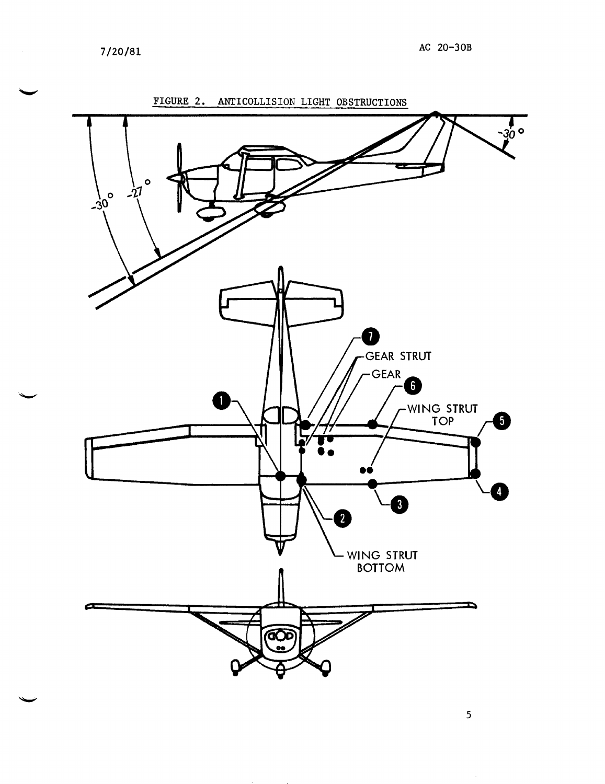7/20/81



 $\bar{\mathbf{v}}$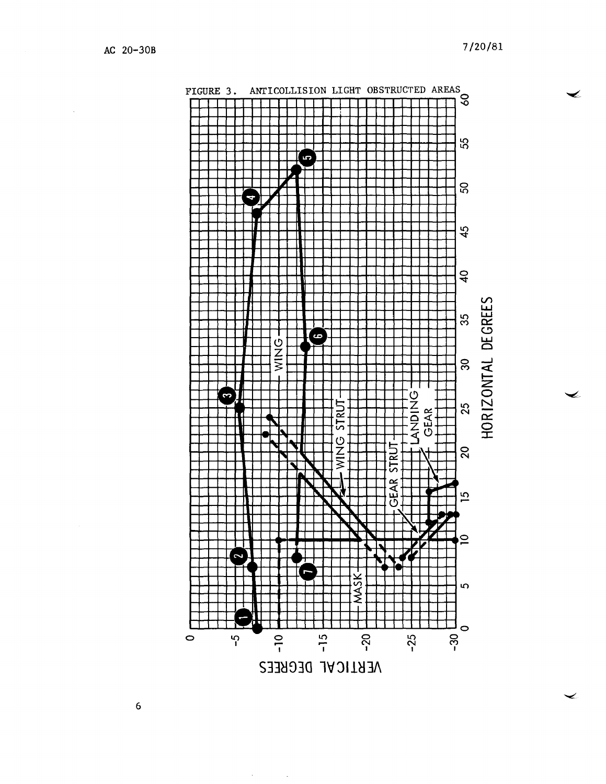⇙



 $\mathbf 6$ 

 $\alpha$  .

 $\sim$   $\sim$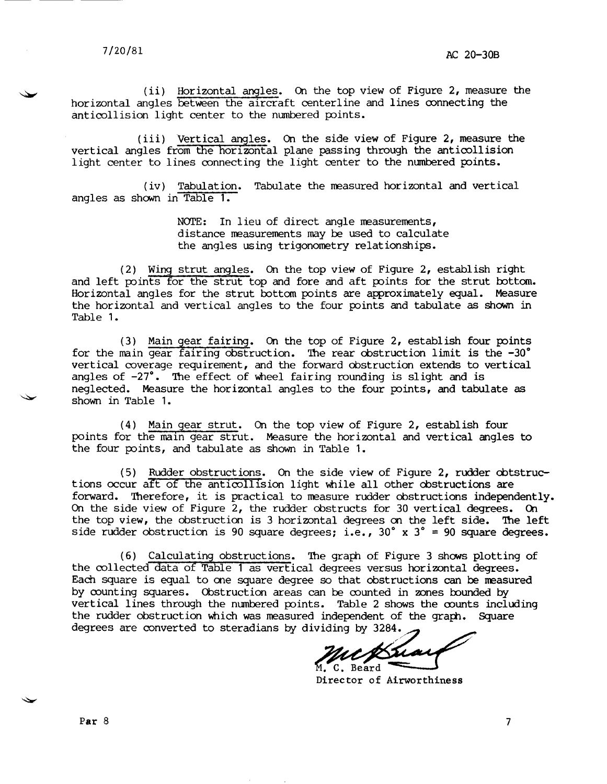(ii) Horizontal angles. On the top view of Figure 2, measure the horizontal angles between the aircraft centerline and lines connecting the anticollision light center to the numbered points.

(iii) Vertical angles. On the side view of Figure 2, measure the vertical angles from the horizontal plane passing through the anticollision light center to lines connecting the light center to the numbered points.

(iv) Tabulation. Tabulate the measured horizontal and vertical angles as shown in Table 1.

> NOTE: In lieu of direct angle measurements, distance measurements may be used to calculate the angles using trigonometry relationships.

(2) Wiryg strut angles. On the top view of Figure 2, establish right and left points for the strut top and fore and aft points for the strut bottom. Horizontal angles for the strut bottom points are approximately equal. Measure the horizontal and vertical angles to the four points and tabulate as shown in Table 1.

(3) Main gear fairing. On the top of Figure 2, establish four points for the main gear fairing obstruction. The rear obstruction limit is the  $-30^{\circ}$ (3) Main gear fairing. On the top of Figure 2, establish four points vertical coverage requirement, and the forward obstruction extends to vertical angles of  $-27^\circ$ . The effect of wheel fairing rounding is slight and is neglected. Measure the horizontal angles to the four points, and tabulate as shown in Table 1.

(4) Main gear strut. On the top view of Figure 2, establish four points for the main gear strut. Measure the horizontal and vertical angles to the four points, and tabulate as shown in Table 1.

 $(5)$  Rudder obstructions. On the side view of Figure 2, rudder obtstructions occur aft of the anticollision light while all other obstructions are forward. Therefore, it is practical to measure rudder obstructions independently. On the side view of Figure  $2$ , the rudder obstructs for 30 vertical degrees. On the top view, the obstruction is 3 horizontal degrees on the left side. The left side rudder obstruction is 90 square degrees; i.e.,  $30^\circ$  x  $3^\circ$  = 90 square degrees.

(6) Calculating obstructions. The graph of Figure 3 shows plotting of the collected data of Table 1 as vertical degrees versus horizontal degrees. Each square is equal to one square degree so that obstructions can be measured by counting squares. Obstruction areas can be counted in zones bounded by vertical lines through the numbered points. Table 2 shows the counts including the rudder obstruction which was measured independent of the graph. Square degrees are converted to steradians by dividing by 3284.

uckhai M. C. Beard

Director of Airworthiness

Par  $8$  7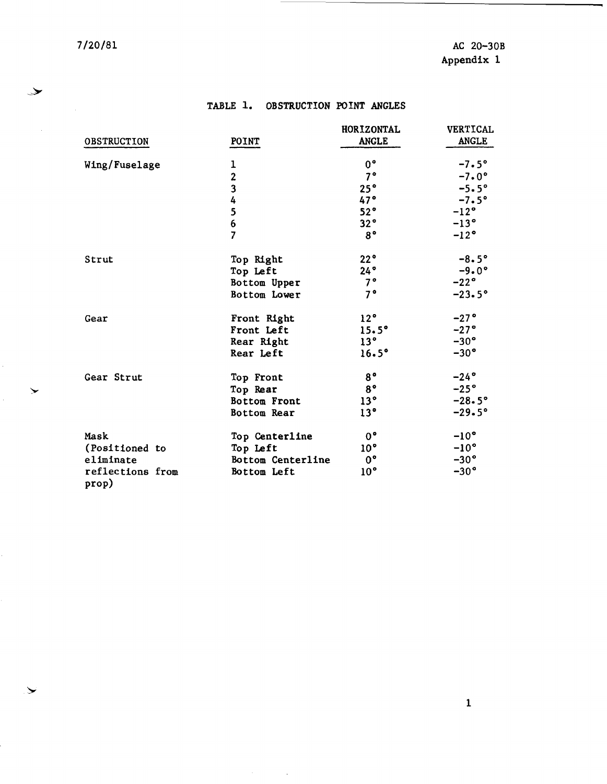$\mathbb{R}^2$ 

**OBSTRUCTION** 

Wing/Fuselage

7/20/81 AC 20-30B Appendix 1

ANGLE

 $-7.0$ °

#### TABLE 1. OBSTRUCTION POINT ANGLES

POINT 1 2 HORIZONTAL VERTICAL<br>ANGLE ANGLE  $0^{\circ}$   $-7.5^{\circ}$ <br>  $7^{\circ}$   $-7.0^{\circ}$ 

|                           |                   | 25°             | $-5.5^{\circ}$  |
|---------------------------|-------------------|-----------------|-----------------|
|                           |                   | 47°             | $-7.5^\circ$    |
|                           | 34567             | 52°             | $-12^{\circ}$   |
|                           |                   | 32°             | $-13^\circ$     |
|                           |                   | $8^{\circ}$     | $-12^{\circ}$   |
| Strut                     | Top Right         | 22°             | $-8.5^{\circ}$  |
|                           | Top Left          | 24°             | $-9.0^{\circ}$  |
|                           | Bottom Upper      | 7°              | $-22^\circ$     |
|                           | Bottom Lower      | 7°              | $-23.5^{\circ}$ |
| Gear                      | Front Right       | 12°             | $-27$ °         |
|                           | Front Left        | $15.5^\circ$    | $-27^\circ$     |
|                           | Rear Right        | 13 <sup>°</sup> | $-30^\circ$     |
|                           | Rear Left         | 16.5°           | $-30^\circ$     |
| Gear Strut                | Top Front         | $8^{\circ}$     | $-24$ °         |
|                           | Top Rear          | $8^{\circ}$     | $-25^\circ$     |
|                           | Bottom Front      | 13 <sup>°</sup> | $-28.5^{\circ}$ |
|                           | Bottom Rear       | 13 <sup>°</sup> | $-29.5°$        |
| Mask                      | Top Centerline    | $0^{\circ}$     | $-10^{\circ}$   |
| (Positioned to            | Top Left          | 10 <sup>°</sup> | $-10^{\circ}$   |
| eliminate                 | Bottom Centerline | $0^{\circ}$     | $-30^\circ$     |
| reflections from<br>prop) | Bottom Left       | 10 <sup>°</sup> | $-30^\circ$     |

 $\sim$   $\star$ 

 $\blacktriangleright$ 

 $\blacktriangleright$ 

 $\rightarrow$ 

1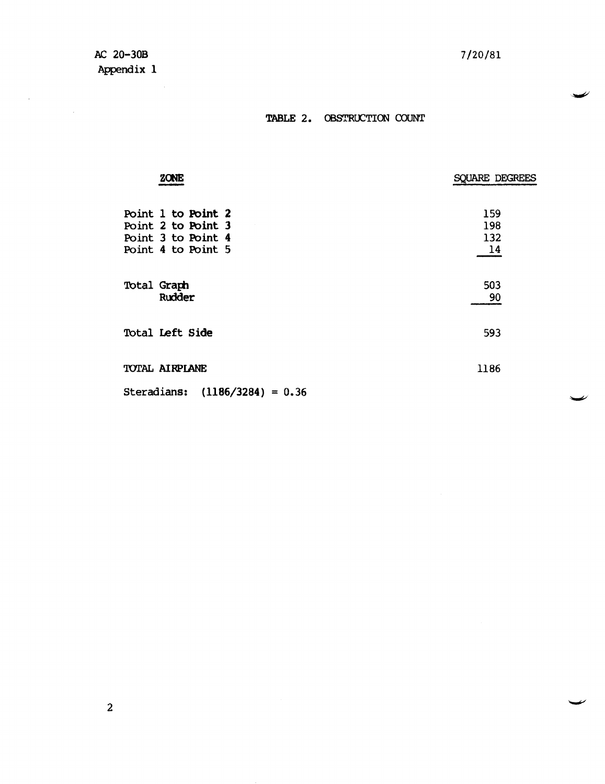$\mathcal{L}_{\text{max}}$ 

 $\sim 10^6$ 

⊿

### TABLE 2. OBSTRUCTION COUNT

| <b>ZONE</b>                                                                          | SQUARE DEGREES          |
|--------------------------------------------------------------------------------------|-------------------------|
| Point 1 to Point 2<br>Point 2 to Point 3<br>Point 3 to Point 4<br>Point 4 to Point 5 | 159<br>198<br>132<br>14 |
| Total Graph<br>Rudder                                                                | 503<br>90               |
| Total Left Side                                                                      | 593                     |
| TOTAL AIRPLANE                                                                       | 1186                    |
| $(1186/3284) = 0.36$<br>Steradians:                                                  |                         |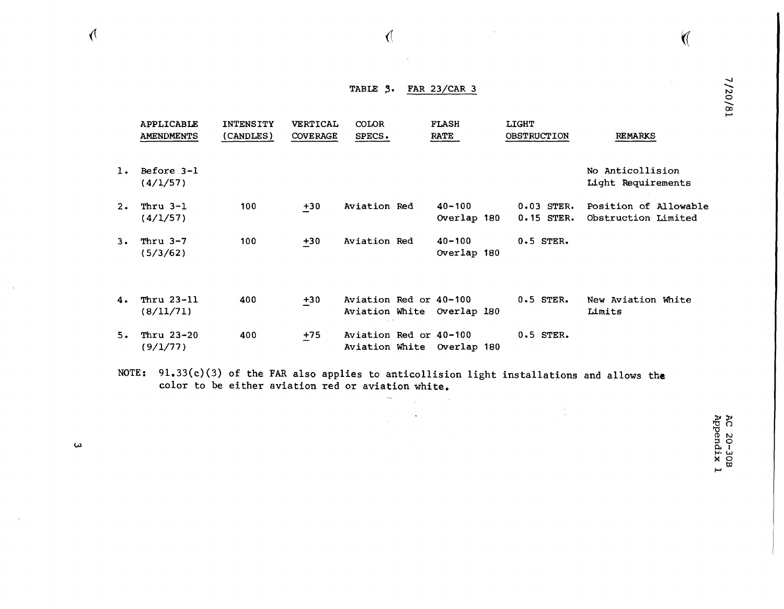# TABLE **3.** FAR 23/CAR 3

 $\sqrt{2}$ 

 $\sqrt{ }$ 

 $\pmb{\omega}$ 

 $\Lambda$ 

|       | APPLICABLE<br><b>AMENDMENTS</b> | <b>INTENSITY</b><br>(CANDLES) | <b>VERTICAL</b><br><b>COVERAGE</b> | COLOR<br>SPECS.                                      | <b>FLASH</b><br><b>RATE</b> | <b>LIGHT</b><br><b>OBSTRUCTION</b> | <b>REMARKS</b>                               |
|-------|---------------------------------|-------------------------------|------------------------------------|------------------------------------------------------|-----------------------------|------------------------------------|----------------------------------------------|
| 1.    | Before 3-1<br>(4/1/57)          |                               |                                    |                                                      |                             |                                    | No Anticollision<br>Light Requirements       |
| 2.    | Thru $3-1$<br>(4/1/57)          | 100                           | $+30$                              | Aviation Red                                         | $40 - 100$<br>Overlap 180   | $0.03$ STER.<br>$0.15$ STER.       | Position of Allowable<br>Obstruction Limited |
| $3 -$ | Thru $3-7$<br>(5/3/62)          | 100                           | $+30$                              | Aviation Red                                         | $40 - 100$<br>Overlap 180   | $0.5$ STER.                        |                                              |
| 4.    | Thru 23-11<br>(8/11/71)         | 400                           | $+30$                              | Aviation Red or 40-100<br>Aviation White Overlap 180 |                             | $0.5$ STER.                        | New Aviation White<br>Limits                 |
| 5.    | Thru 23-20<br>(9/1/77)          | 400                           | $+75$                              | Aviation Red or 40-100<br>Aviation White Overlap 180 |                             | $0.5$ STER.                        |                                              |

NOTE: 91.33(c)(3) of the FAR also applies to anticollision light installations and allows **the**  color to be either aviation red or aviation white.  $\sim$   $\star$ 

4

AC 20-30B<br>Appendix 1

0 ....... N 720/81

 $\bigvee$ 

 $\frac{2}{1}$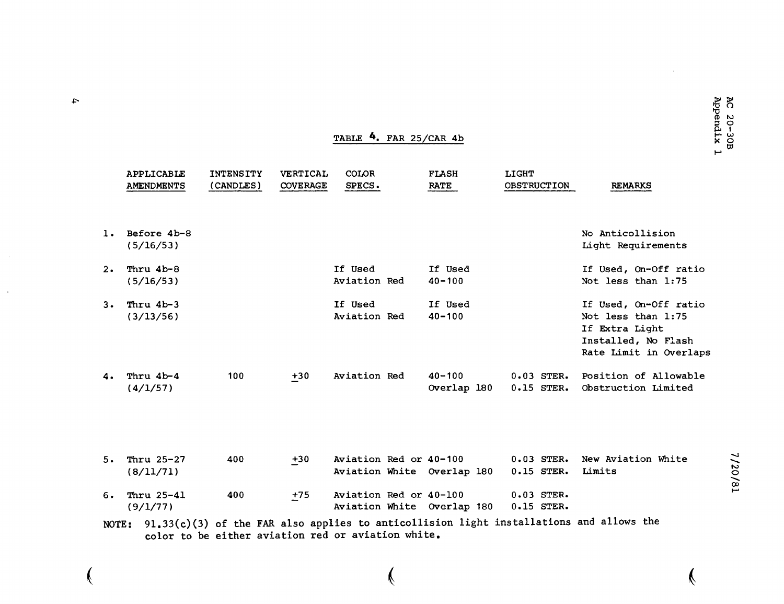|       | APPLICABLE<br><b>AMENDMENTS</b> | <b>INTENSITY</b><br>(CANDLES) | <b>VERTICAL</b><br><b>COVERAGE</b> | COLOR<br>SPECS.         | <b>FLASH</b><br><b>RATE</b> | <b>LIGHT</b><br><b>OBSTRUCTION</b> |              | <b>REMARKS</b>                                                                                                 |         |
|-------|---------------------------------|-------------------------------|------------------------------------|-------------------------|-----------------------------|------------------------------------|--------------|----------------------------------------------------------------------------------------------------------------|---------|
| 1.    | Before 4b-8<br>(5/16/53)        |                               |                                    |                         |                             |                                    |              | No Anticollision<br>Light Requirements                                                                         |         |
| $2 -$ | Thru 4b-8<br>(5/16/53)          |                               |                                    | If Used<br>Aviation Red | If Used<br>$40 - 100$       |                                    |              | If Used, On-Off ratio<br>Not less than 1:75                                                                    |         |
| 3.    | Thru 4b-3<br>(3/13/56)          |                               |                                    | If Used<br>Aviation Red | If Used<br>$40 - 100$       |                                    |              | If Used, On-Off ratio<br>Not less than 1:75<br>If Extra Light<br>Installed, No Flash<br>Rate Limit in Overlaps |         |
| 4.    | Thru 4b-4<br>(4/1/57)           | 100                           | $+30$                              | Aviation Red            | $40 - 100$<br>Overlap 180   | $0.15$ STER.                       | $0.03$ STER. | Position of Allowable<br>Obstruction Limited                                                                   |         |
| 5.    | Thru 25-27<br>(8/11/71)         | 400                           | $+30$                              | Aviation Red or 40-100  | Aviation White Overlap 180  | $0.15$ STER.                       | $0.03$ STER. | New Aviation White<br>Limits                                                                                   | 7/20/81 |
| 6.    | Thru 25-41<br>(9/1/77)          | 400                           | $+75$                              | Aviation Red or 40-100  | Aviation White Overlap 180  | $0.03$ STER.<br>$0.15$ STER.       |              |                                                                                                                |         |
|       |                                 |                               |                                    |                         |                             |                                    |              |                                                                                                                |         |

TABLE 4. FAR 25/CAR 4b

NOTE: 91.33(c)(3) of the FAR also applies to anticollision light installations and allows the color to be either aviation red or aviation white.

Ý

♦

V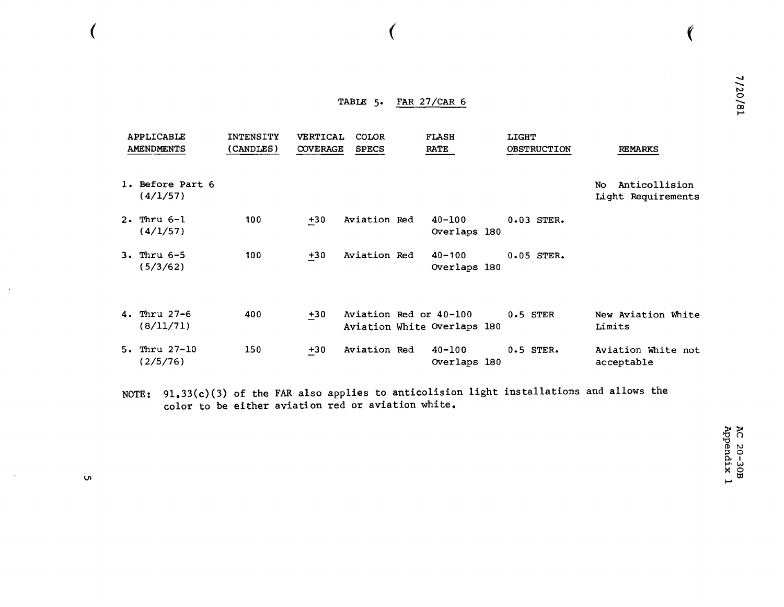#### TABLE 5. FAR 27/CAR 6

 $\overline{\mathcal{L}}$ 

 $\sim$ 

 $\alpha$ 

 $\sim$ 

ιJ

| <b>APPLICABLE</b><br><b>AMENDMENTS</b> | <b>INTENSITY</b><br>(CANDLES) | <b>VERTICAL</b><br><b>COVERAGE</b> | <b>COLOR</b><br><b>SPECS</b> | <b>FLASH</b><br><b>RATE</b> | <b>LIGHT</b><br><b>OBSTRUCTION</b> | <b>REMARKS</b>                             |
|----------------------------------------|-------------------------------|------------------------------------|------------------------------|-----------------------------|------------------------------------|--------------------------------------------|
| 1. Before Part 6<br>(4/1/57)           |                               |                                    |                              |                             |                                    | Anticollision<br>No.<br>Light Requirements |
| $2.$ Thru $6-1$<br>(4/1/57)            | 100                           | $+30$                              | Aviation Red                 | $40 - 100$<br>Overlaps 180  | $0.03$ STER.                       |                                            |
| $3.$ Thru $6-5$<br>(5/3/62)            | 100                           | $+30$                              | Aviation Red                 | $40 - 100$<br>Overlaps 180  | $0.05$ STER.                       |                                            |
| 4. Thru $27-6$<br>(8/11/71)            | 400                           | $+30$                              | Aviation Red or 40-100       | Aviation White Overlaps 180 | $0.5$ STER                         | New Aviation White<br>Limits               |
| $5.$ Thru $27-10$<br>(2/5/76)          | 150                           | $+30$                              | Aviation Red                 | $40 - 100$<br>Overlaps 180  | $0.5$ STER.                        | Aviation White not<br>acceptable           |

NOTE:  $91.33(c)(3)$  of the FAR also applies to anticolision light installations and allows the color to be either aviation red or aviation white.

AC 20-30B<br>Appendix 1